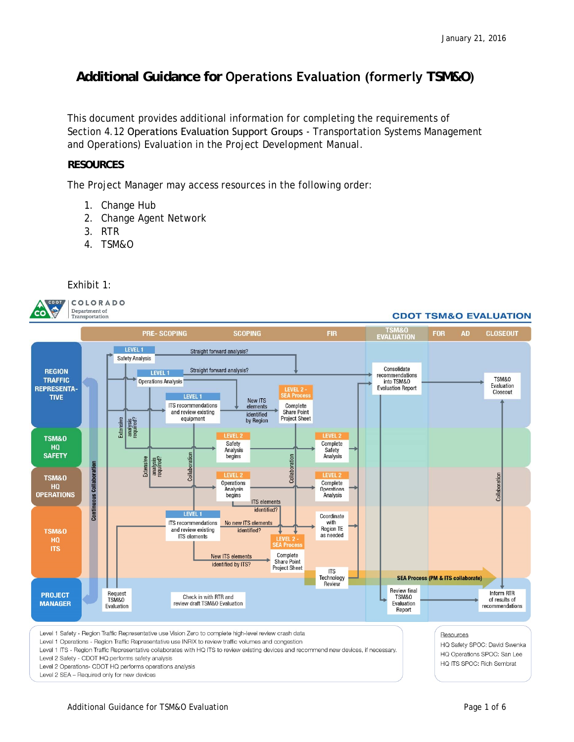## **Additional Guidance for Operations Evaluation (formerly TSM&O)**

This document provides additional information for completing the requirements of Section 4.12 Operations Evaluation Support Groups - Transportation Systems Management and Operations) Evaluation in the *Project Development Manual*.

## **RESOURCES**

The Project Manager may access resources in the following order:

- 1. Change Hub
- 2. Change Agent Network
- 3. RTR
- 4. TSM&O



Level 1 Operations - Region Traffic Representative use INRIX to review traffic volumes and congestion

Level 1 ITS - Region Traffic Representative collaborates with HQ ITS to review existing devices and recommend new devices, if necessary.

Level 2 Safety - CDOT HQ performs safety analysis

Level 2 Operations- CDOT HQ performs operations analysis Level 2 SEA - Required only for new devices

Resources

HQ Safety SPOC: David Swenka HQ Operations SPOC: San Lee HQ ITS SPOC: Rich Sembrat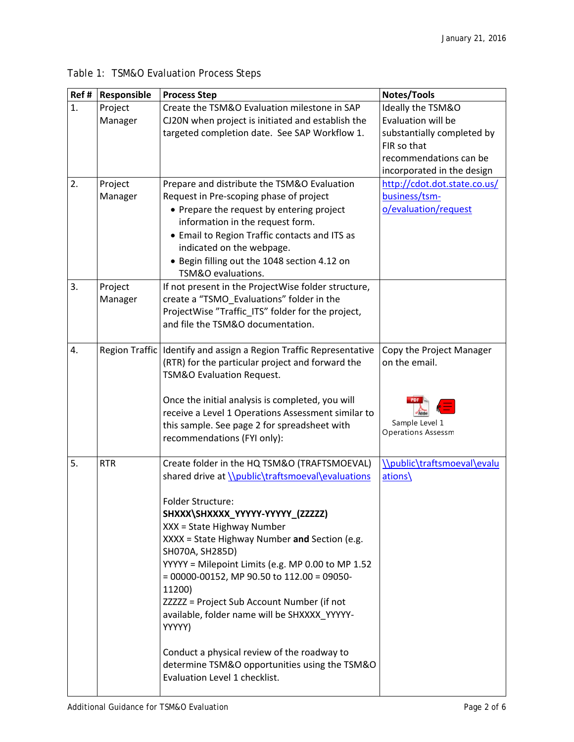| Ref #          | Responsible | <b>Process Step</b>                                                               | Notes/Tools                  |
|----------------|-------------|-----------------------------------------------------------------------------------|------------------------------|
| $\mathbf{1}$ . | Project     | Create the TSM&O Evaluation milestone in SAP                                      | Ideally the TSM&O            |
|                | Manager     | CJ20N when project is initiated and establish the                                 | Evaluation will be           |
|                |             | targeted completion date. See SAP Workflow 1.                                     | substantially completed by   |
|                |             |                                                                                   | FIR so that                  |
|                |             |                                                                                   | recommendations can be       |
|                |             |                                                                                   | incorporated in the design   |
| 2.             | Project     | Prepare and distribute the TSM&O Evaluation                                       | http://cdot.dot.state.co.us/ |
|                | Manager     | Request in Pre-scoping phase of project                                           | business/tsm-                |
|                |             | • Prepare the request by entering project                                         | o/evaluation/request         |
|                |             | information in the request form.<br>• Email to Region Traffic contacts and ITS as |                              |
|                |             | indicated on the webpage.                                                         |                              |
|                |             | • Begin filling out the 1048 section 4.12 on                                      |                              |
|                |             | TSM&O evaluations.                                                                |                              |
| 3.             | Project     | If not present in the ProjectWise folder structure,                               |                              |
|                | Manager     | create a "TSMO Evaluations" folder in the                                         |                              |
|                |             | ProjectWise "Traffic_ITS" folder for the project,                                 |                              |
|                |             | and file the TSM&O documentation.                                                 |                              |
|                |             |                                                                                   |                              |
| 4.             |             | Region Traffic   Identify and assign a Region Traffic Representative              | Copy the Project Manager     |
|                |             | (RTR) for the particular project and forward the                                  | on the email.                |
|                |             | TSM&O Evaluation Request.                                                         |                              |
|                |             |                                                                                   |                              |
|                |             | Once the initial analysis is completed, you will                                  |                              |
|                |             | receive a Level 1 Operations Assessment similar to                                | Sample Level 1               |
|                |             | this sample. See page 2 for spreadsheet with                                      | <b>Operations Assessm</b>    |
|                |             | recommendations (FYI only):                                                       |                              |
| 5.             | <b>RTR</b>  | Create folder in the HQ TSM&O (TRAFTSMOEVAL)                                      | \\public\traftsmoeval\evalu  |
|                |             | shared drive at \\public\traftsmoeval\evaluations                                 | ations\                      |
|                |             |                                                                                   |                              |
|                |             | <b>Folder Structure:</b>                                                          |                              |
|                |             | SHXXX\SHXXXX_YYYYY-YYYYY_(ZZZZZ)                                                  |                              |
|                |             | XXX = State Highway Number                                                        |                              |
|                |             | XXXX = State Highway Number and Section (e.g.                                     |                              |
|                |             | SH070A, SH285D)                                                                   |                              |
|                |             | YYYYY = Milepoint Limits (e.g. MP 0.00 to MP 1.52                                 |                              |
|                |             | $= 00000 - 00152$ , MP 90.50 to 112.00 = 09050-                                   |                              |
|                |             | 11200)                                                                            |                              |
|                |             | ZZZZZ = Project Sub Account Number (if not                                        |                              |
|                |             | available, folder name will be SHXXXX_YYYYY-<br>YYYYY)                            |                              |
|                |             |                                                                                   |                              |
|                |             | Conduct a physical review of the roadway to                                       |                              |
|                |             | determine TSM&O opportunities using the TSM&O                                     |                              |
|                |             | Evaluation Level 1 checklist.                                                     |                              |
|                |             |                                                                                   |                              |

Table 1: TSM&O Evaluation Process Steps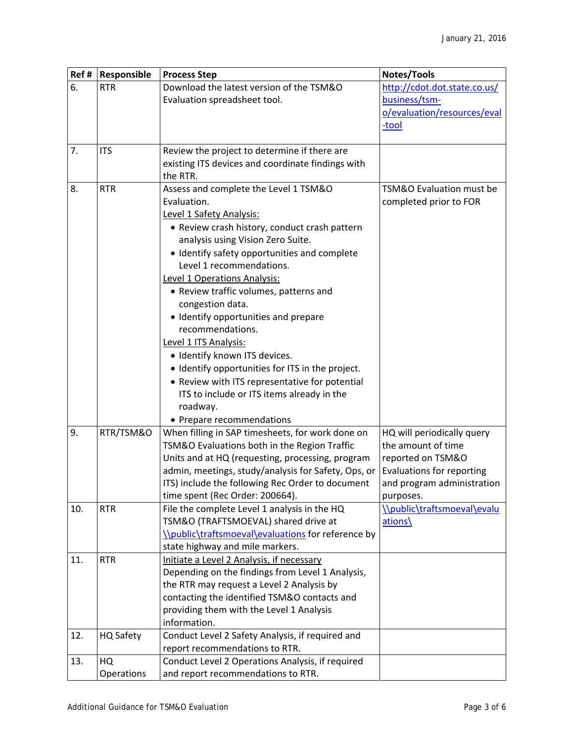| Ref# | Responsible | <b>Process Step</b>                                 | Notes/Tools                  |  |  |  |
|------|-------------|-----------------------------------------------------|------------------------------|--|--|--|
| 6.   | <b>RTR</b>  | Download the latest version of the TSM&O            | http://cdot.dot.state.co.us/ |  |  |  |
|      |             | Evaluation spreadsheet tool.                        | business/tsm-                |  |  |  |
|      |             |                                                     | o/evaluation/resources/eval  |  |  |  |
|      |             |                                                     | -tool                        |  |  |  |
|      |             |                                                     |                              |  |  |  |
| 7.   | <b>ITS</b>  | Review the project to determine if there are        |                              |  |  |  |
|      |             | existing ITS devices and coordinate findings with   |                              |  |  |  |
|      |             | the RTR.                                            |                              |  |  |  |
| 8.   | <b>RTR</b>  | Assess and complete the Level 1 TSM&O               | TSM&O Evaluation must be     |  |  |  |
|      |             | Evaluation.                                         | completed prior to FOR       |  |  |  |
|      |             | Level 1 Safety Analysis:                            |                              |  |  |  |
|      |             | • Review crash history, conduct crash pattern       |                              |  |  |  |
|      |             | analysis using Vision Zero Suite.                   |                              |  |  |  |
|      |             | • Identify safety opportunities and complete        |                              |  |  |  |
|      |             | Level 1 recommendations.                            |                              |  |  |  |
|      |             | Level 1 Operations Analysis:                        |                              |  |  |  |
|      |             | • Review traffic volumes, patterns and              |                              |  |  |  |
|      |             | congestion data.                                    |                              |  |  |  |
|      |             | · Identify opportunities and prepare                |                              |  |  |  |
|      |             | recommendations.                                    |                              |  |  |  |
|      |             | Level 1 ITS Analysis:                               |                              |  |  |  |
|      |             | · Identify known ITS devices.                       |                              |  |  |  |
|      |             | • Identify opportunities for ITS in the project.    |                              |  |  |  |
|      |             | • Review with ITS representative for potential      |                              |  |  |  |
|      |             | ITS to include or ITS items already in the          |                              |  |  |  |
|      |             | roadway.                                            |                              |  |  |  |
|      |             | • Prepare recommendations                           |                              |  |  |  |
| 9.   | RTR/TSM&O   | When filling in SAP timesheets, for work done on    | HQ will periodically query   |  |  |  |
|      |             | TSM&O Evaluations both in the Region Traffic        | the amount of time           |  |  |  |
|      |             | Units and at HQ (requesting, processing, program    | reported on TSM&O            |  |  |  |
|      |             | admin, meetings, study/analysis for Safety, Ops, or | Evaluations for reporting    |  |  |  |
|      |             | ITS) include the following Rec Order to document    | and program administration   |  |  |  |
|      |             | time spent (Rec Order: 200664).                     | purposes.                    |  |  |  |
| 10.  | <b>RTR</b>  | File the complete Level 1 analysis in the HQ        | \\public\traftsmoeval\evalu  |  |  |  |
|      |             | TSM&O (TRAFTSMOEVAL) shared drive at                | ations\                      |  |  |  |
|      |             | \\public\traftsmoeval\evaluations for reference by  |                              |  |  |  |
|      |             | state highway and mile markers.                     |                              |  |  |  |
| 11.  | <b>RTR</b>  | Initiate a Level 2 Analysis, if necessary           |                              |  |  |  |
|      |             | Depending on the findings from Level 1 Analysis,    |                              |  |  |  |
|      |             | the RTR may request a Level 2 Analysis by           |                              |  |  |  |
|      |             | contacting the identified TSM&O contacts and        |                              |  |  |  |
|      |             | providing them with the Level 1 Analysis            |                              |  |  |  |
|      |             | information.                                        |                              |  |  |  |
| 12.  | HQ Safety   | Conduct Level 2 Safety Analysis, if required and    |                              |  |  |  |
|      |             | report recommendations to RTR.                      |                              |  |  |  |
| 13.  | HQ          | Conduct Level 2 Operations Analysis, if required    |                              |  |  |  |
|      | Operations  | and report recommendations to RTR.                  |                              |  |  |  |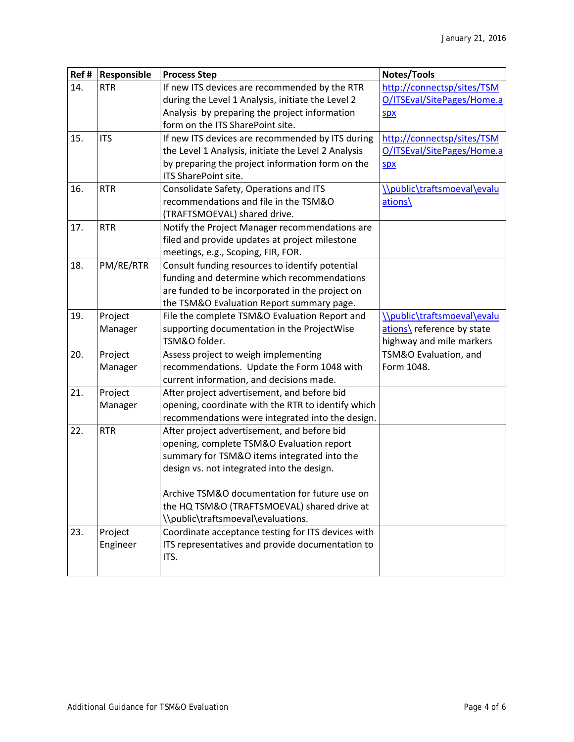| Ref# | Responsible | <b>Process Step</b>                                 | Notes/Tools                 |  |  |  |  |
|------|-------------|-----------------------------------------------------|-----------------------------|--|--|--|--|
| 14.  | <b>RTR</b>  | If new ITS devices are recommended by the RTR       | http://connectsp/sites/TSM  |  |  |  |  |
|      |             | during the Level 1 Analysis, initiate the Level 2   | O/ITSEval/SitePages/Home.a  |  |  |  |  |
|      |             | Analysis by preparing the project information       | SDX                         |  |  |  |  |
|      |             | form on the ITS SharePoint site.                    |                             |  |  |  |  |
| 15.  | <b>ITS</b>  | If new ITS devices are recommended by ITS during    | http://connectsp/sites/TSM  |  |  |  |  |
|      |             | the Level 1 Analysis, initiate the Level 2 Analysis | O/ITSEval/SitePages/Home.a  |  |  |  |  |
|      |             | by preparing the project information form on the    | SDX                         |  |  |  |  |
|      |             | ITS SharePoint site.                                |                             |  |  |  |  |
| 16.  | <b>RTR</b>  | Consolidate Safety, Operations and ITS              | \\public\traftsmoeval\evalu |  |  |  |  |
|      |             | recommendations and file in the TSM&O               | ations\                     |  |  |  |  |
|      |             | (TRAFTSMOEVAL) shared drive.                        |                             |  |  |  |  |
| 17.  | <b>RTR</b>  | Notify the Project Manager recommendations are      |                             |  |  |  |  |
|      |             | filed and provide updates at project milestone      |                             |  |  |  |  |
|      |             | meetings, e.g., Scoping, FIR, FOR.                  |                             |  |  |  |  |
| 18.  | PM/RE/RTR   | Consult funding resources to identify potential     |                             |  |  |  |  |
|      |             | funding and determine which recommendations         |                             |  |  |  |  |
|      |             | are funded to be incorporated in the project on     |                             |  |  |  |  |
|      |             | the TSM&O Evaluation Report summary page.           |                             |  |  |  |  |
| 19.  | Project     | File the complete TSM&O Evaluation Report and       | \\public\traftsmoeval\evalu |  |  |  |  |
|      | Manager     | supporting documentation in the ProjectWise         | ations\ reference by state  |  |  |  |  |
|      |             | TSM&O folder.                                       | highway and mile markers    |  |  |  |  |
| 20.  | Project     | Assess project to weigh implementing                | TSM&O Evaluation, and       |  |  |  |  |
|      | Manager     | recommendations. Update the Form 1048 with          | Form 1048.                  |  |  |  |  |
|      |             | current information, and decisions made.            |                             |  |  |  |  |
| 21.  | Project     | After project advertisement, and before bid         |                             |  |  |  |  |
|      | Manager     | opening, coordinate with the RTR to identify which  |                             |  |  |  |  |
|      |             | recommendations were integrated into the design.    |                             |  |  |  |  |
| 22.  | <b>RTR</b>  | After project advertisement, and before bid         |                             |  |  |  |  |
|      |             | opening, complete TSM&O Evaluation report           |                             |  |  |  |  |
|      |             | summary for TSM&O items integrated into the         |                             |  |  |  |  |
|      |             | design vs. not integrated into the design.          |                             |  |  |  |  |
|      |             |                                                     |                             |  |  |  |  |
|      |             | Archive TSM&O documentation for future use on       |                             |  |  |  |  |
|      |             | the HQ TSM&O (TRAFTSMOEVAL) shared drive at         |                             |  |  |  |  |
|      |             | \\public\traftsmoeval\evaluations.                  |                             |  |  |  |  |
| 23.  | Project     | Coordinate acceptance testing for ITS devices with  |                             |  |  |  |  |
|      | Engineer    | ITS representatives and provide documentation to    |                             |  |  |  |  |
|      |             | ITS.                                                |                             |  |  |  |  |
|      |             |                                                     |                             |  |  |  |  |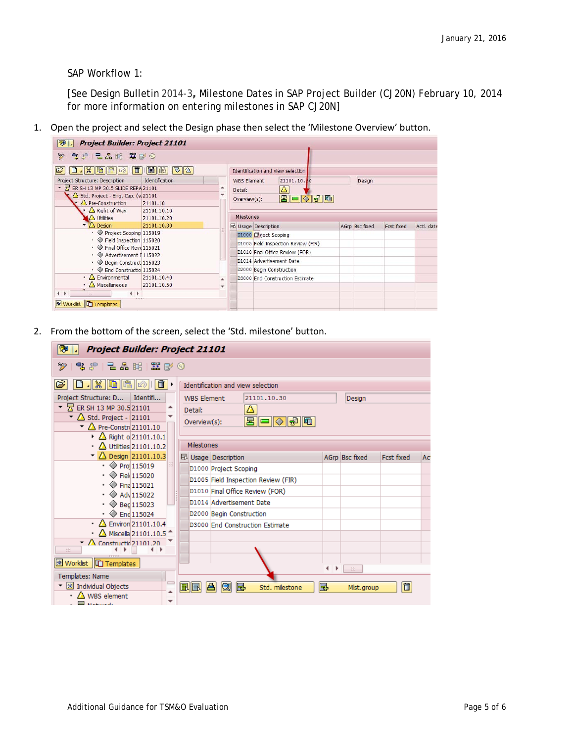SAP Workflow 1:

[See Design Bulletin 2014-3**,** Milestone Dates in SAP Project Builder (CJ20N) February 10, 2014 for more information on entering milestones in SAP CJ20N]

1. Open the project and select the Design phase then select the 'Milestone Overview' button.

| <b>Project Builder: Project 21101</b><br>刚                                                                                                                          |                                                                                                  |                                   |              |                       |                                     |  |        |  |                |            |            |
|---------------------------------------------------------------------------------------------------------------------------------------------------------------------|--------------------------------------------------------------------------------------------------|-----------------------------------|--------------|-----------------------|-------------------------------------|--|--------|--|----------------|------------|------------|
| % 第 2 品 眠 霊 配 ◎<br>∞                                                                                                                                                |                                                                                                  |                                   |              |                       |                                     |  |        |  |                |            |            |
| E<br>$x$ b $x \rightarrow$<br>E                                                                                                                                     | Identification and view selection                                                                |                                   |              |                       |                                     |  |        |  |                |            |            |
| Project Structure: Description<br>Identification                                                                                                                    |                                                                                                  | 21101.10.80<br><b>WBS Element</b> |              |                       |                                     |  | Design |  |                |            |            |
| ER SH 13 MP 30.5 SLIDE REPA 21101<br>۸                                                                                                                              |                                                                                                  |                                   | Δ<br>Detail: |                       |                                     |  |        |  |                |            |            |
| Std. Project - Eng. Cap. (w21101                                                                                                                                    |                                                                                                  |                                   |              | 日日々もに<br>Overview(s): |                                     |  |        |  |                |            |            |
|                                                                                                                                                                     | Pre-Construction<br>21101.10<br>Right of Way<br>21101.10.10<br><b>A</b> Utilities<br>21101.10.20 |                                   |              |                       |                                     |  |        |  |                |            |            |
|                                                                                                                                                                     |                                                                                                  |                                   |              |                       | <b>Milestones</b>                   |  |        |  |                |            |            |
| $\sqrt{ }$ Design                                                                                                                                                   | 21101.10.30                                                                                      |                                   |              |                       | <b>E</b> Usage Description          |  |        |  | AGrp Bsc fixed | Fcst fixed | Actl. date |
| • ◆ Project Scoping 115019<br>$\cdot$ $\diamond$ Field Inspection 115020<br>• ← Final Office Revie115021<br>• ◇ Advertisement [115022<br>• ◇ Begin Construct 115023 |                                                                                                  |                                   |              |                       | D1000 ①ject Scoping                 |  |        |  |                |            |            |
|                                                                                                                                                                     |                                                                                                  |                                   |              |                       | D1005 Field Inspection Review (FIR) |  |        |  |                |            |            |
|                                                                                                                                                                     |                                                                                                  |                                   |              |                       | D1010 Final Office Review (FOR)     |  |        |  |                |            |            |
|                                                                                                                                                                     |                                                                                                  |                                   |              |                       | D1014 Advertisement Date            |  |        |  |                |            |            |
| ← <b>End Constructio</b> 115024                                                                                                                                     |                                                                                                  |                                   |              |                       | D2000 Begin Construction            |  |        |  |                |            |            |
| $\cdot$ $\Delta$ Environmental<br>$\cdot$ $\Delta$ Miscellaneous                                                                                                    | 21101.10.40<br>21101.10.50                                                                       |                                   |              |                       | D3000 End Construction Estimate     |  |        |  |                |            |            |
| $\overline{ }$<br>$\leftarrow$<br>$\frac{1}{2}$                                                                                                                     |                                                                                                  |                                   |              |                       |                                     |  |        |  |                |            |            |
| <b>SYSY</b><br><b>Worklist   Templates</b>                                                                                                                          |                                                                                                  |                                   |              |                       |                                     |  |        |  |                |            |            |

2. From the bottom of the screen, select the 'Std. milestone' button.